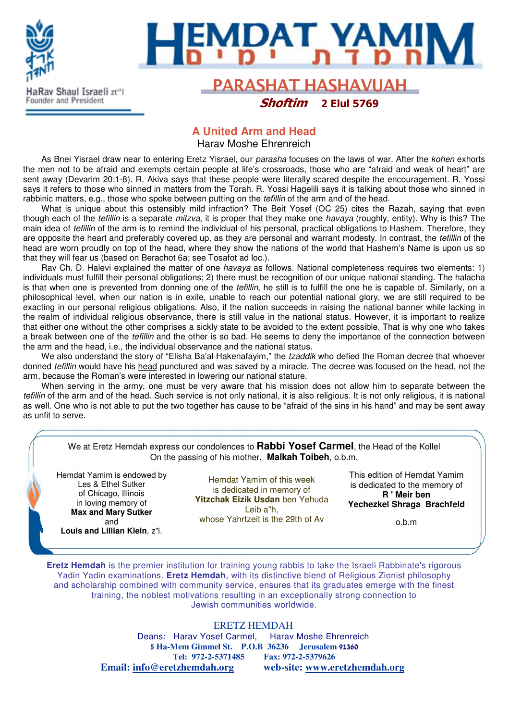

# l

### **PARASHAT HASHAVUAH** Shoftim 2 Elul 5769

### **A United Arm and Head**

Harav Moshe Ehrenreich

As Bnei Yisrael draw near to entering Eretz Yisrael, our parasha focuses on the laws of war. After the kohen exhorts the men not to be afraid and exempts certain people at life's crossroads, those who are "afraid and weak of heart" are sent away (Devarim 20:1-8). R. Akiva says that these people were literally scared despite the encouragement. R. Yossi says it refers to those who sinned in matters from the Torah. R. Yossi Hagelili says it is talking about those who sinned in rabbinic matters, e.g., those who spoke between putting on the *tefillin* of the arm and of the head.

What is unique about this ostensibly mild infraction? The Beit Yosef (OC 25) cites the Razah, saying that even though each of the *tefillin* is a separate *mitzva*, it is proper that they make one *havaya* (roughly, entity). Why is this? The main idea of tefillin of the arm is to remind the individual of his personal, practical obligations to Hashem. Therefore, they are opposite the heart and preferably covered up, as they are personal and warrant modesty. In contrast, the *tefillin* of the head are worn proudly on top of the head, where they show the nations of the world that Hashem's Name is upon us so that they will fear us (based on Berachot 6a; see Tosafot ad loc.).

Rav Ch. D. Halevi explained the matter of one havaya as follows. National completeness requires two elements: 1) individuals must fulfill their personal obligations; 2) there must be recognition of our unique national standing. The halacha is that when one is prevented from donning one of the *tefillin*, he still is to fulfill the one he is capable of. Similarly, on a philosophical level, when our nation is in exile, unable to reach our potential national glory, we are still required to be exacting in our personal religious obligations. Also, if the nation succeeds in raising the national banner while lacking in the realm of individual religious observance, there is still value in the national status. However, it is important to realize that either one without the other comprises a sickly state to be avoided to the extent possible. That is why one who takes a break between one of the tefillin and the other is so bad. He seems to deny the importance of the connection between the arm and the head, i.e., the individual observance and the national status.

We also understand the story of "Elisha Ba'al Hakenafayim," the tzaddik who defied the Roman decree that whoever donned *tefillin* would have his head punctured and was saved by a miracle. The decree was focused on the head, not the arm, because the Roman's were interested in lowering our national stature.

When serving in the army, one must be very aware that his mission does not allow him to separate between the tefillin of the arm and of the head. Such service is not only national, it is also religious. It is not only religious, it is national as well. One who is not able to put the two together has cause to be "afraid of the sins in his hand" and may be sent away as unfit to serve.

| We at Eretz Hemdah express our condolences to Rabbi Yosef Carmel, the Head of the Kollel<br>On the passing of his mother, Malkah Toibeh, o.b.m.                       |                                                                                                                                             |                                                                                                                      |
|-----------------------------------------------------------------------------------------------------------------------------------------------------------------------|---------------------------------------------------------------------------------------------------------------------------------------------|----------------------------------------------------------------------------------------------------------------------|
| Hemdat Yamim is endowed by<br>Les & Ethel Sutker<br>of Chicago, Illinois<br>in loving memory of<br><b>Max and Mary Sutker</b><br>and<br>Louis and Lillian Klein, z"l. | Hemdat Yamim of this week<br>is dedicated in memory of<br>Yitzchak Eizik Usdan ben Yehuda<br>Leib a"h,<br>whose Yahrtzeit is the 29th of Av | This edition of Hemdat Yamim<br>is dedicated to the memory of<br>R ' Meir ben<br>Yechezkel Shraga Brachfeld<br>o.b.m |

**Eretz Hemdah** is the premier institution for training young rabbis to take the Israeli Rabbinate's rigorous Yadin Yadin examinations. **Eretz Hemdah**, with its distinctive blend of Religious Zionist philosophy and scholarship combined with community service, ensures that its graduates emerge with the finest training, the noblest motivations resulting in an exceptionally strong connection to Jewish communities worldwide.

ERETZ HEMDAH

Deans: Harav Yosef Carmel, Harav Moshe Ehrenreich 5 **Ha-Mem Gimmel St. P.O.B 36236 Jerusalem** 91360 **Tel: 972-2-5371485 Fax: 972-2-5379626 Email: info@eretzhemdah.org web-site: www.eretzhemdah.org**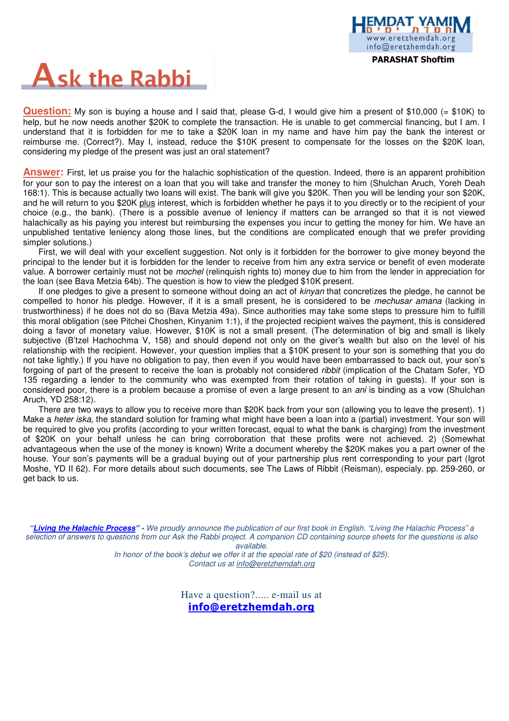

# **Ask the Rabbi**

**Question:** My son is buying a house and I said that, please G-d, I would give him a present of \$10,000 (= \$10K) to help, but he now needs another \$20K to complete the transaction. He is unable to get commercial financing, but I am. I understand that it is forbidden for me to take a \$20K loan in my name and have him pay the bank the interest or reimburse me. (Correct?). May I, instead, reduce the \$10K present to compensate for the losses on the \$20K loan, considering my pledge of the present was just an oral statement?

**Answer:** First, let us praise you for the halachic sophistication of the question. Indeed, there is an apparent prohibition for your son to pay the interest on a loan that you will take and transfer the money to him (Shulchan Aruch, Yoreh Deah 168:1). This is because actually two loans will exist. The bank will give you \$20K. Then you will be lending your son \$20K, and he will return to you \$20K plus interest, which is forbidden whether he pays it to you directly or to the recipient of your choice (e.g., the bank). (There is a possible avenue of leniency if matters can be arranged so that it is not viewed halachically as his paying you interest but reimbursing the expenses you incur to getting the money for him. We have an unpublished tentative leniency along those lines, but the conditions are complicated enough that we prefer providing simpler solutions.)

First, we will deal with your excellent suggestion. Not only is it forbidden for the borrower to give money beyond the principal to the lender but it is forbidden for the lender to receive from him any extra service or benefit of even moderate value. A borrower certainly must not be *mochel* (relinquish rights to) money due to him from the lender in appreciation for the loan (see Bava Metzia 64b). The question is how to view the pledged \$10K present.

If one pledges to give a present to someone without doing an act of *kinyan* that concretizes the pledge, he cannot be compelled to honor his pledge. However, if it is a small present, he is considered to be mechusar amana (lacking in trustworthiness) if he does not do so (Bava Metzia 49a). Since authorities may take some steps to pressure him to fulfill this moral obligation (see Pitchei Choshen, Kinyanim 1:1), if the projected recipient waives the payment, this is considered doing a favor of monetary value. However, \$10K is not a small present. (The determination of big and small is likely subjective (B'tzel Hachochma V, 158) and should depend not only on the giver's wealth but also on the level of his relationship with the recipient. However, your question implies that a \$10K present to your son is something that you do not take lightly.) If you have no obligation to pay, then even if you would have been embarrassed to back out, your son's forgoing of part of the present to receive the loan is probably not considered ribbit (implication of the Chatam Sofer, YD 135 regarding a lender to the community who was exempted from their rotation of taking in guests). If your son is considered poor, there is a problem because a promise of even a large present to an *ani* is binding as a vow (Shulchan Aruch, YD 258:12).

There are two ways to allow you to receive more than \$20K back from your son (allowing you to leave the present). 1) Make a heter iska, the standard solution for framing what might have been a loan into a (partial) investment. Your son will be required to give you profits (according to your written forecast, equal to what the bank is charging) from the investment of \$20K on your behalf unless he can bring corroboration that these profits were not achieved. 2) (Somewhat advantageous when the use of the money is known) Write a document whereby the \$20K makes you a part owner of the house. Your son's payments will be a gradual buying out of your partnership plus rent corresponding to your part (Igrot Moshe, YD II 62). For more details about such documents, see The Laws of Ribbit (Reisman), especialy. pp. 259-260, or get back to us.

**"Living the Halachic Process**" **-** We proudly announce the publication of our first book in English. "Living the Halachic Process" a selection of answers to questions from our Ask the Rabbi project. A companion CD containing source sheets for the questions is also available.

In honor of the book's debut we offer it at the special rate of \$20 (instead of \$25). Contact us at info@eretzhemdah.org

> Have a question?..... e-mail us at info@eretzhemdah.org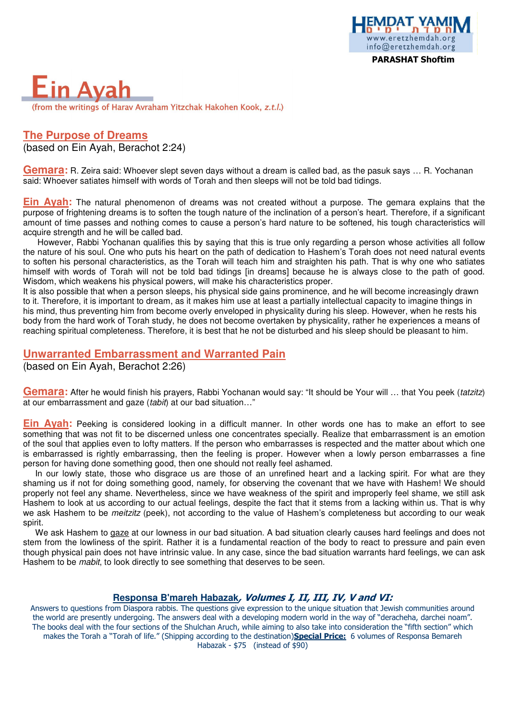



### **The Purpose of Dreams**  (based on Ein Ayah, Berachot 2:24)

**Gemara**: R. Zeira said: Whoever slept seven days without a dream is called bad, as the pasuk says ... R. Yochanan said: Whoever satiates himself with words of Torah and then sleeps will not be told bad tidings.

**Ein Ayah:** The natural phenomenon of dreams was not created without a purpose. The gemara explains that the purpose of frightening dreams is to soften the tough nature of the inclination of a person's heart. Therefore, if a significant amount of time passes and nothing comes to cause a person's hard nature to be softened, his tough characteristics will acquire strength and he will be called bad.

 However, Rabbi Yochanan qualifies this by saying that this is true only regarding a person whose activities all follow the nature of his soul. One who puts his heart on the path of dedication to Hashem's Torah does not need natural events to soften his personal characteristics, as the Torah will teach him and straighten his path. That is why one who satiates himself with words of Torah will not be told bad tidings [in dreams] because he is always close to the path of good. Wisdom, which weakens his physical powers, will make his characteristics proper.

It is also possible that when a person sleeps, his physical side gains prominence, and he will become increasingly drawn to it. Therefore, it is important to dream, as it makes him use at least a partially intellectual capacity to imagine things in his mind, thus preventing him from become overly enveloped in physicality during his sleep. However, when he rests his body from the hard work of Torah study, he does not become overtaken by physicality, rather he experiences a means of reaching spiritual completeness. Therefore, it is best that he not be disturbed and his sleep should be pleasant to him.

#### **Unwarranted Embarrassment and Warranted Pain**

(based on Ein Ayah, Berachot 2:26)

**Gemara:** After he would finish his prayers, Rabbi Yochanan would say: "It should be Your will … that You peek (tatzitz) at our embarrassment and gaze (tabit) at our bad situation…"

**Ein Ayah:** Peeking is considered looking in a difficult manner. In other words one has to make an effort to see something that was not fit to be discerned unless one concentrates specially. Realize that embarrassment is an emotion of the soul that applies even to lofty matters. If the person who embarrasses is respected and the matter about which one is embarrassed is rightly embarrassing, then the feeling is proper. However when a lowly person embarrasses a fine person for having done something good, then one should not really feel ashamed.

In our lowly state, those who disgrace us are those of an unrefined heart and a lacking spirit. For what are they shaming us if not for doing something good, namely, for observing the covenant that we have with Hashem! We should properly not feel any shame. Nevertheless, since we have weakness of the spirit and improperly feel shame, we still ask Hashem to look at us according to our actual feelings, despite the fact that it stems from a lacking within us. That is why we ask Hashem to be *meitzitz* (peek), not according to the value of Hashem's completeness but according to our weak spirit.

We ask Hashem to gaze at our lowness in our bad situation. A bad situation clearly causes hard feelings and does not stem from the lowliness of the spirit. Rather it is a fundamental reaction of the body to react to pressure and pain even though physical pain does not have intrinsic value. In any case, since the bad situation warrants hard feelings, we can ask Hashem to be *mabit*, to look directly to see something that deserves to be seen.

### **Responsa B'mareh Habazak**, Volumes I, II, III, IV, V and VI:

Answers to questions from Diaspora rabbis. The questions give expression to the unique situation that Jewish communities around the world are presently undergoing. The answers deal with a developing modern world in the way of "deracheha, darchei noam". The books deal with the four sections of the Shulchan Aruch, while aiming to also take into consideration the "fifth section" which makes the Torah a "Torah of life." (Shipping according to the destination)Special Price: 6 volumes of Responsa Bemareh Habazak - \$75 (instead of \$90)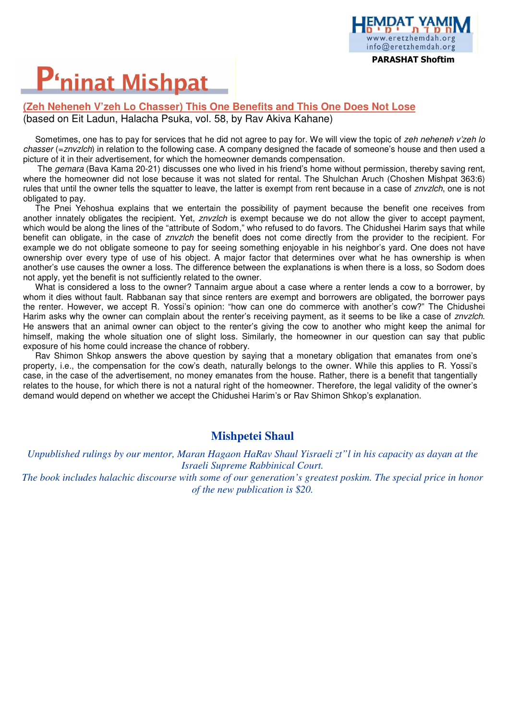# **P'ninat Mishpat**

### **(Zeh Neheneh V'zeh Lo Chasser) This One Benefits and This One Does Not Lose**  (based on Eit Ladun, Halacha Psuka, vol. 58, by Rav Akiva Kahane)

Sometimes, one has to pay for services that he did not agree to pay for. We will view the topic of zeh neheneh v'zeh lo chasser (=znvzlch) in relation to the following case. A company designed the facade of someone's house and then used a picture of it in their advertisement, for which the homeowner demands compensation.

PARASHAT Shoftim

eretzhemdah org info@eretzhemdah.org

The *gemara* (Bava Kama 20-21) discusses one who lived in his friend's home without permission, thereby saving rent, where the homeowner did not lose because it was not slated for rental. The Shulchan Aruch (Choshen Mishpat 363:6) rules that until the owner tells the squatter to leave, the latter is exempt from rent because in a case of znvzlch, one is not obligated to pay.

The Pnei Yehoshua explains that we entertain the possibility of payment because the benefit one receives from another innately obligates the recipient. Yet, znvzlch is exempt because we do not allow the giver to accept payment, which would be along the lines of the "attribute of Sodom," who refused to do favors. The Chidushei Harim says that while benefit can obligate, in the case of znvzlch the benefit does not come directly from the provider to the recipient. For example we do not obligate someone to pay for seeing something enjoyable in his neighbor's yard. One does not have ownership over every type of use of his object. A major factor that determines over what he has ownership is when another's use causes the owner a loss. The difference between the explanations is when there is a loss, so Sodom does not apply, yet the benefit is not sufficiently related to the owner.

What is considered a loss to the owner? Tannaim argue about a case where a renter lends a cow to a borrower, by whom it dies without fault. Rabbanan say that since renters are exempt and borrowers are obligated, the borrower pays the renter. However, we accept R. Yossi's opinion: "how can one do commerce with another's cow?" The Chidushei Harim asks why the owner can complain about the renter's receiving payment, as it seems to be like a case of znvzlch. He answers that an animal owner can object to the renter's giving the cow to another who might keep the animal for himself, making the whole situation one of slight loss. Similarly, the homeowner in our question can say that public exposure of his home could increase the chance of robbery.

Rav Shimon Shkop answers the above question by saying that a monetary obligation that emanates from one's property, i.e., the compensation for the cow's death, naturally belongs to the owner. While this applies to R. Yossi's case, in the case of the advertisement, no money emanates from the house. Rather, there is a benefit that tangentially relates to the house, for which there is not a natural right of the homeowner. Therefore, the legal validity of the owner's demand would depend on whether we accept the Chidushei Harim's or Rav Shimon Shkop's explanation.

### **Mishpetei Shaul**

*Unpublished rulings by our mentor, Maran Hagaon HaRav Shaul Yisraeli zt"l in his capacity as dayan at the Israeli Supreme Rabbinical Court.* 

*The book includes halachic discourse with some of our generation's greatest poskim. The special price in honor of the new publication is \$20.*